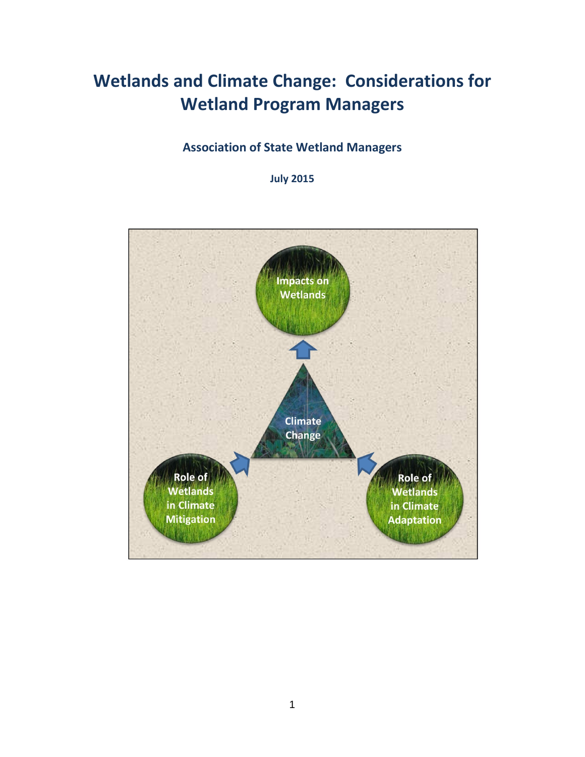# **Wetlands and Climate Change: Considerations for Wetland Program Managers**

## **Association of State Wetland Managers**

**July 2015**

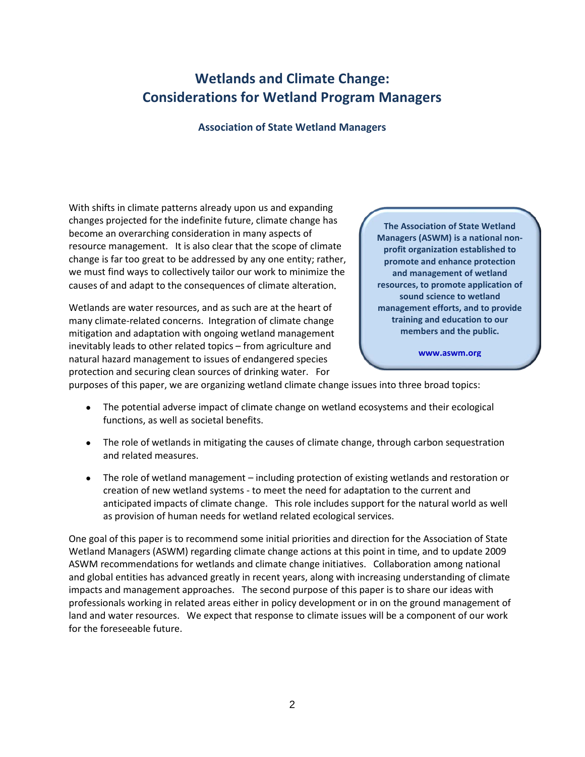# **Wetlands and Climate Change: Considerations for Wetland Program Managers**

#### **Association of State Wetland Managers**

With shifts in climate patterns already upon us and expanding changes projected for the indefinite future, climate change has become an overarching consideration in many aspects of resource management. It is also clear that the scope of climate change is far too great to be addressed by any one entity; rather, we must find ways to collectively tailor our work to minimize the causes of and adapt to the consequences of climate alteration.

Wetlands are water resources, and as such are at the heart of many climate-related concerns. Integration of climate change mitigation and adaptation with ongoing wetland management inevitably leads to other related topics – from agriculture and natural hazard management to issues of endangered species protection and securing clean sources of drinking water. For

**The Association of State Wetland Managers (ASWM) is a national nonprofit organization established to promote and enhance protection and management of wetland resources, to promote application of sound science to wetland management efforts, and to provide training and education to our members and the public.**

**[www.aswm.org](http://www.aswm.org/)**

purposes of this paper, we are organizing wetland climate change issues into three broad topics:

- The potential adverse impact of climate change on wetland ecosystems and their ecological functions, as well as societal benefits.
- The role of wetlands in mitigating the causes of climate change, through carbon sequestration and related measures.
- The role of wetland management including protection of existing wetlands and restoration or creation of new wetland systems - to meet the need for adaptation to the current and anticipated impacts of climate change. This role includes support for the natural world as well as provision of human needs for wetland related ecological services.

One goal of this paper is to recommend some initial priorities and direction for the Association of State Wetland Managers (ASWM) regarding climate change actions at this point in time, and to update 2009 ASWM recommendations for wetlands and climate change initiatives. Collaboration among national and global entities has advanced greatly in recent years, along with increasing understanding of climate impacts and management approaches. The second purpose of this paper is to share our ideas with professionals working in related areas either in policy development or in on the ground management of land and water resources. We expect that response to climate issues will be a component of our work for the foreseeable future.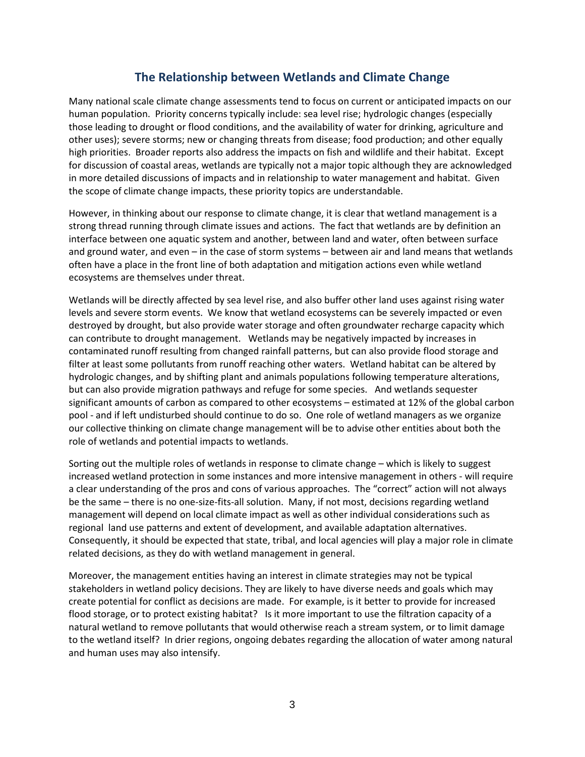### **The Relationship between Wetlands and Climate Change**

Many national scale climate change assessments tend to focus on current or anticipated impacts on our human population. Priority concerns typically include: sea level rise; hydrologic changes (especially those leading to drought or flood conditions, and the availability of water for drinking, agriculture and other uses); severe storms; new or changing threats from disease; food production; and other equally high priorities. Broader reports also address the impacts on fish and wildlife and their habitat. Except for discussion of coastal areas, wetlands are typically not a major topic although they are acknowledged in more detailed discussions of impacts and in relationship to water management and habitat. Given the scope of climate change impacts, these priority topics are understandable.

However, in thinking about our response to climate change, it is clear that wetland management is a strong thread running through climate issues and actions. The fact that wetlands are by definition an interface between one aquatic system and another, between land and water, often between surface and ground water, and even – in the case of storm systems – between air and land means that wetlands often have a place in the front line of both adaptation and mitigation actions even while wetland ecosystems are themselves under threat.

Wetlands will be directly affected by sea level rise, and also buffer other land uses against rising water levels and severe storm events. We know that wetland ecosystems can be severely impacted or even destroyed by drought, but also provide water storage and often groundwater recharge capacity which can contribute to drought management. Wetlands may be negatively impacted by increases in contaminated runoff resulting from changed rainfall patterns, but can also provide flood storage and filter at least some pollutants from runoff reaching other waters. Wetland habitat can be altered by hydrologic changes, and by shifting plant and animals populations following temperature alterations, but can also provide migration pathways and refuge for some species. And wetlands sequester significant amounts of carbon as compared to other ecosystems – estimated at 12% of the global carbon pool - and if left undisturbed should continue to do so. One role of wetland managers as we organize our collective thinking on climate change management will be to advise other entities about both the role of wetlands and potential impacts to wetlands.

Sorting out the multiple roles of wetlands in response to climate change – which is likely to suggest increased wetland protection in some instances and more intensive management in others - will require a clear understanding of the pros and cons of various approaches. The "correct" action will not always be the same – there is no one-size-fits-all solution. Many, if not most, decisions regarding wetland management will depend on local climate impact as well as other individual considerations such as regional land use patterns and extent of development, and available adaptation alternatives. Consequently, it should be expected that state, tribal, and local agencies will play a major role in climate related decisions, as they do with wetland management in general.

Moreover, the management entities having an interest in climate strategies may not be typical stakeholders in wetland policy decisions. They are likely to have diverse needs and goals which may create potential for conflict as decisions are made. For example, is it better to provide for increased flood storage, or to protect existing habitat? Is it more important to use the filtration capacity of a natural wetland to remove pollutants that would otherwise reach a stream system, or to limit damage to the wetland itself? In drier regions, ongoing debates regarding the allocation of water among natural and human uses may also intensify.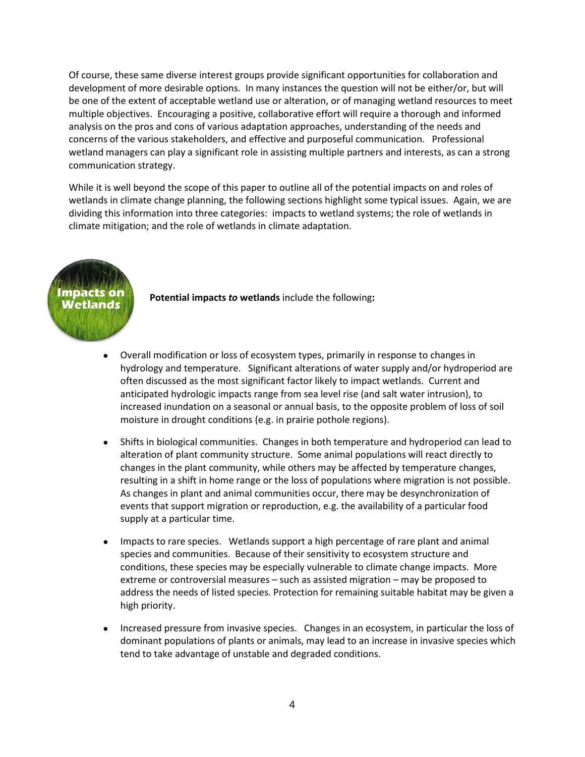Of course, these same diverse interest groups provide significant opportunities for collaboration and development of more desirable options. In many instances the question will not be either/or, but will be one of the extent of acceptable wetland use or alteration, or of managing wetland resources to meet multiple objectives. Encouraging a positive, collaborative effort will require a thorough and informed analysis on the pros and cons of various adaptation approaches, understanding of the needs and concerns of the various stakeholders, and effective and purposeful communication. Professional wetland managers can play a significant role in assisting multiple partners and interests, as can a strong communication strategy.

While it is well beyond the scope of this paper to outline all of the potential impacts on and roles of wetlands in climate change planning, the following sections highlight some typical issues. Again, we are dividing this information into three categories: impacts to wetland systems; the role of wetlands in climate mitigation; and the role of wetlands in climate adaptation.



**Potential impacts** *to* **wetlands** include the following**:**

- Overall modification or loss of ecosystem types, primarily in response to changes in hydrology and temperature. Significant alterations of water supply and/or hydroperiod are often discussed as the most significant factor likely to impact wetlands. Current and anticipated hydrologic impacts range from sea level rise (and salt water intrusion), to increased inundation on a seasonal or annual basis, to the opposite problem of loss of soil moisture in drought conditions (e.g. in prairie pothole regions).
- Shifts in biological communities. Changes in both temperature and hydroperiod can lead to alteration of plant community structure. Some animal populations will react directly to changes in the plant community, while others may be affected by temperature changes, resulting in a shift in home range or the loss of populations where migration is not possible. As changes in plant and animal communities occur, there may be desynchronization of events that support migration or reproduction, e.g. the availability of a particular food supply at a particular time.
- Impacts to rare species. Wetlands support a high percentage of rare plant and animal species and communities. Because of their sensitivity to ecosystem structure and conditions, these species may be especially vulnerable to climate change impacts. More extreme or controversial measures – such as assisted migration – may be proposed to address the needs of listed species. Protection for remaining suitable habitat may be given a high priority.
- Increased pressure from invasive species. Changes in an ecosystem, in particular the loss of dominant populations of plants or animals, may lead to an increase in invasive species which tend to take advantage of unstable and degraded conditions.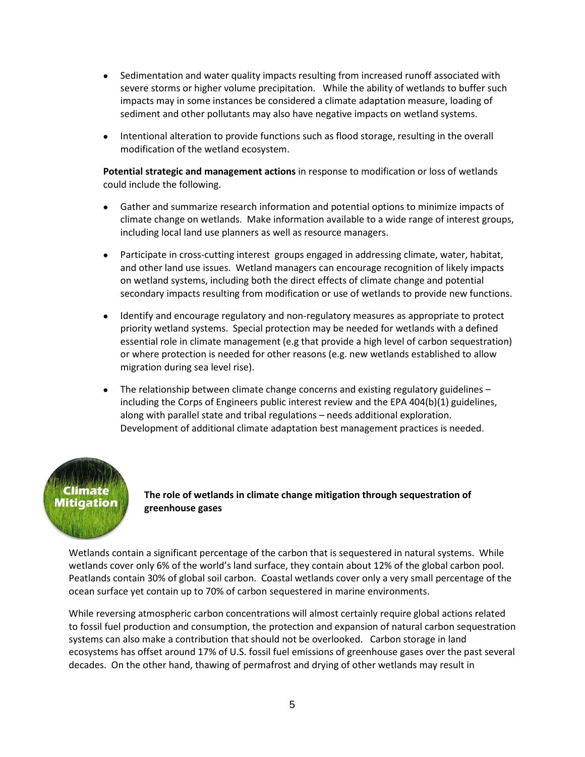- Sedimentation and water quality impacts resulting from increased runoff associated with severe storms or higher volume precipitation. While the ability of wetlands to buffer such impacts may in some instances be considered a climate adaptation measure, loading of sediment and other pollutants may also have negative impacts on wetland systems.
- Intentional alteration to provide functions such as flood storage, resulting in the overall modification of the wetland ecosystem.

**Potential strategic and management actions** in response to modification or loss of wetlands could include the following.

- Gather and summarize research information and potential options to minimize impacts of climate change on wetlands. Make information available to a wide range of interest groups, including local land use planners as well as resource managers.
- Participate in cross-cutting interest groups engaged in addressing climate, water, habitat, and other land use issues. Wetland managers can encourage recognition of likely impacts on wetland systems, including both the direct effects of climate change and potential secondary impacts resulting from modification or use of wetlands to provide new functions.
- Identify and encourage regulatory and non-regulatory measures as appropriate to protect priority wetland systems. Special protection may be needed for wetlands with a defined essential role in climate management (e.g that provide a high level of carbon sequestration) or where protection is needed for other reasons (e.g. new wetlands established to allow migration during sea level rise).
- The relationship between climate change concerns and existing regulatory guidelines including the Corps of Engineers public interest review and the EPA 404(b)(1) guidelines, along with parallel state and tribal regulations – needs additional exploration. Development of additional climate adaptation best management practices is needed.

# Climate Mitigation

**The role of wetlands in climate change mitigation through sequestration of greenhouse gases**

Wetlands contain a significant percentage of the carbon that is sequestered in natural systems. While wetlands cover only 6% of the world's land surface, they contain about 12% of the global carbon pool. Peatlands contain 30% of global soil carbon. Coastal wetlands cover only a very small percentage of the ocean surface yet contain up to 70% of carbon sequestered in marine environments.

While reversing atmospheric carbon concentrations will almost certainly require global actions related to fossil fuel production and consumption, the protection and expansion of natural carbon sequestration systems can also make a contribution that should not be overlooked. Carbon storage in land ecosystems has offset around 17% of U.S. fossil fuel emissions of greenhouse gases over the past several decades. On the other hand, thawing of permafrost and drying of other wetlands may result in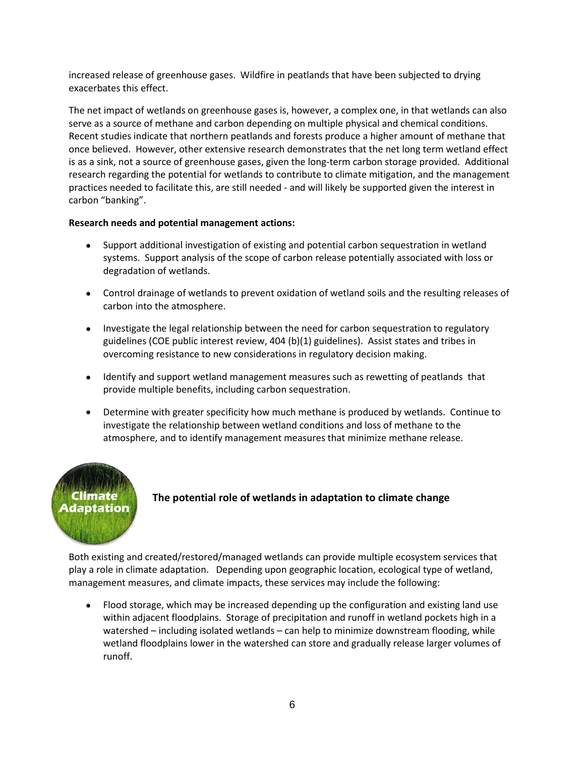increased release of greenhouse gases. Wildfire in peatlands that have been subjected to drying exacerbates this effect.

The net impact of wetlands on greenhouse gases is, however, a complex one, in that wetlands can also serve as a source of methane and carbon depending on multiple physical and chemical conditions. Recent studies indicate that northern peatlands and forests produce a higher amount of methane that once believed. However, other extensive research demonstrates that the net long term wetland effect is as a sink, not a source of greenhouse gases, given the long-term carbon storage provided. Additional research regarding the potential for wetlands to contribute to climate mitigation, and the management practices needed to facilitate this, are still needed - and will likely be supported given the interest in carbon "banking".

#### **Research needs and potential management actions:**

- Support additional investigation of existing and potential carbon sequestration in wetland systems. Support analysis of the scope of carbon release potentially associated with loss or degradation of wetlands.
- Control drainage of wetlands to prevent oxidation of wetland soils and the resulting releases of carbon into the atmosphere.
- Investigate the legal relationship between the need for carbon sequestration to regulatory guidelines (COE public interest review, 404 (b)(1) guidelines). Assist states and tribes in overcoming resistance to new considerations in regulatory decision making.
- Identify and support wetland management measures such as rewetting of peatlands that provide multiple benefits, including carbon sequestration.
- Determine with greater specificity how much methane is produced by wetlands. Continue to investigate the relationship between wetland conditions and loss of methane to the atmosphere, and to identify management measures that minimize methane release.



#### **The potential role of wetlands in adaptation to climate change**

Both existing and created/restored/managed wetlands can provide multiple ecosystem services that play a role in climate adaptation. Depending upon geographic location, ecological type of wetland, management measures, and climate impacts, these services may include the following:

• Flood storage, which may be increased depending up the configuration and existing land use within adjacent floodplains. Storage of precipitation and runoff in wetland pockets high in a watershed – including isolated wetlands – can help to minimize downstream flooding, while wetland floodplains lower in the watershed can store and gradually release larger volumes of runoff.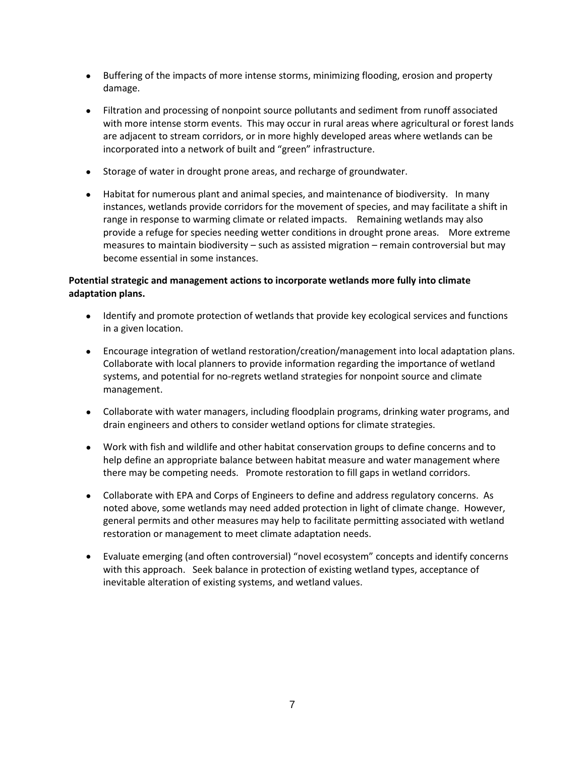- Buffering of the impacts of more intense storms, minimizing flooding, erosion and property damage.
- Filtration and processing of nonpoint source pollutants and sediment from runoff associated with more intense storm events. This may occur in rural areas where agricultural or forest lands are adjacent to stream corridors, or in more highly developed areas where wetlands can be incorporated into a network of built and "green" infrastructure.
- Storage of water in drought prone areas, and recharge of groundwater.
- Habitat for numerous plant and animal species, and maintenance of biodiversity. In many instances, wetlands provide corridors for the movement of species, and may facilitate a shift in range in response to warming climate or related impacts. Remaining wetlands may also provide a refuge for species needing wetter conditions in drought prone areas. More extreme measures to maintain biodiversity – such as assisted migration – remain controversial but may become essential in some instances.

#### **Potential strategic and management actions to incorporate wetlands more fully into climate adaptation plans.**

- Identify and promote protection of wetlands that provide key ecological services and functions in a given location.
- Encourage integration of wetland restoration/creation/management into local adaptation plans. Collaborate with local planners to provide information regarding the importance of wetland systems, and potential for no-regrets wetland strategies for nonpoint source and climate management.
- Collaborate with water managers, including floodplain programs, drinking water programs, and drain engineers and others to consider wetland options for climate strategies.
- Work with fish and wildlife and other habitat conservation groups to define concerns and to help define an appropriate balance between habitat measure and water management where there may be competing needs. Promote restoration to fill gaps in wetland corridors.
- Collaborate with EPA and Corps of Engineers to define and address regulatory concerns. As noted above, some wetlands may need added protection in light of climate change. However, general permits and other measures may help to facilitate permitting associated with wetland restoration or management to meet climate adaptation needs.
- Evaluate emerging (and often controversial) "novel ecosystem" concepts and identify concerns with this approach. Seek balance in protection of existing wetland types, acceptance of inevitable alteration of existing systems, and wetland values.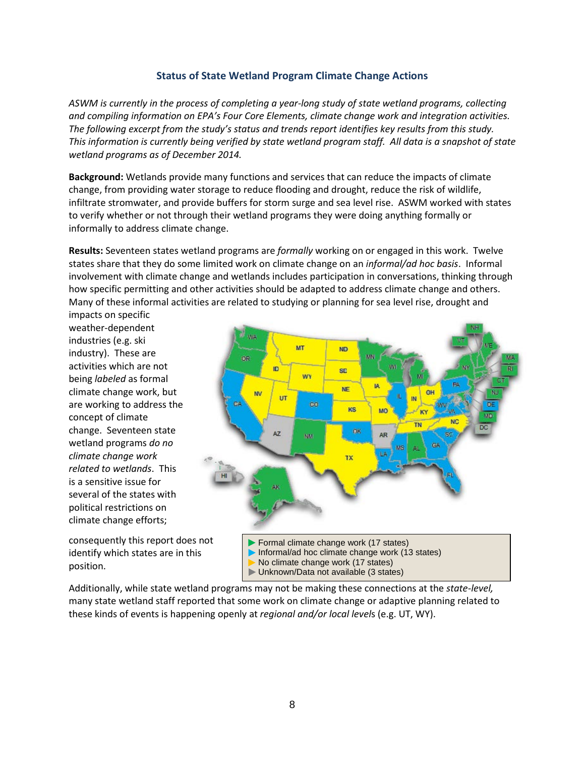#### **Status of State Wetland Program Climate Change Actions**

*ASWM is currently in the process of completing a year-long study of state wetland programs, collecting and compiling information on EPA's Four Core Elements, climate change work and integration activities. The following excerpt from the study's status and trends report identifies key results from this study. This information is currently being verified by state wetland program staff. All data is a snapshot of state wetland programs as of December 2014.* 

**Background:** Wetlands provide many functions and services that can reduce the impacts of climate change, from providing water storage to reduce flooding and drought, reduce the risk of wildlife, infiltrate stromwater, and provide buffers for storm surge and sea level rise. ASWM worked with states to verify whether or not through their wetland programs they were doing anything formally or informally to address climate change.

**Results:** Seventeen states wetland programs are *formally* working on or engaged in this work. Twelve states share that they do some limited work on climate change on an *informal/ad hoc basis*. Informal involvement with climate change and wetlands includes participation in conversations, thinking through how specific permitting and other activities should be adapted to address climate change and others. Many of these informal activities are related to studying or planning for sea level rise, drought and

impacts on specific weather-dependent industries (e.g. ski industry). These are activities which are not being *labeled* as formal climate change work, but are working to address the concept of climate change. Seventeen state wetland programs *do no climate change work related to wetlands*. This is a sensitive issue for several of the states with political restrictions on climate change efforts;

consequently this report does not identify which states are in this position.



Formal climate change work (17 states) Informal/ad hoc climate change work  $(13 \text{ states})$ No climate change work (17 states) Unknown/Data not available (3 states)

Additionally, while state wetland programs may not be making these connections at the *state-level,* many state wetland staff reported that some work on climate change or adaptive planning related to these kinds of events is happening openly at *regional and/or local level*s (e.g. UT, WY).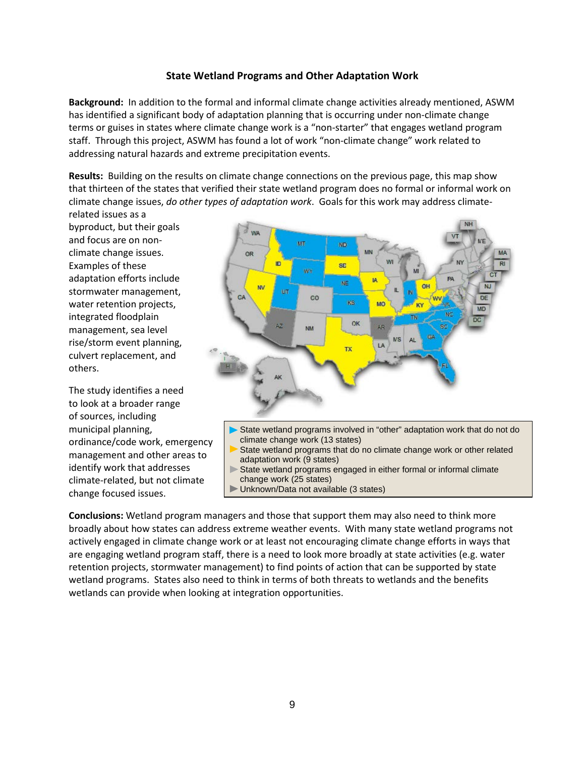#### **State Wetland Programs and Other Adaptation Work**

**Background:** In addition to the formal and informal climate change activities already mentioned, ASWM has identified a significant body of adaptation planning that is occurring under non-climate change terms or guises in states where climate change work is a "non-starter" that engages wetland program staff. Through this project, ASWM has found a lot of work "non-climate change" work related to addressing natural hazards and extreme precipitation events.

**Results:** Building on the results on climate change connections on the previous page, this map show that thirteen of the states that verified their state wetland program does no formal or informal work on climate change issues, *do other types of adaptation work*. Goals for this work may address climate-

related issues as a byproduct, but their goals and focus are on nonclimate change issues. Examples of these adaptation efforts include stormwater management, water retention projects, integrated floodplain management, sea level rise/storm event planning, culvert replacement, and others.

The study identifies a need to look at a broader range of sources, including municipal planning, ordinance/code work, emergency management and other areas to identify work that addresses climate-related, but not climate change focused issues.



- adaptation work (9 states)
- State wetland programs engaged in either formal or informal climate change work (25 states)
- Unknown/Data not available (3 states)

**Conclusions:** Wetland program managers and those that support them may also need to think more broadly about how states can address extreme weather events. With many state wetland programs not actively engaged in climate change work or at least not encouraging climate change efforts in ways that are engaging wetland program staff, there is a need to look more broadly at state activities (e.g. water retention projects, stormwater management) to find points of action that can be supported by state wetland programs. States also need to think in terms of both threats to wetlands and the benefits wetlands can provide when looking at integration opportunities.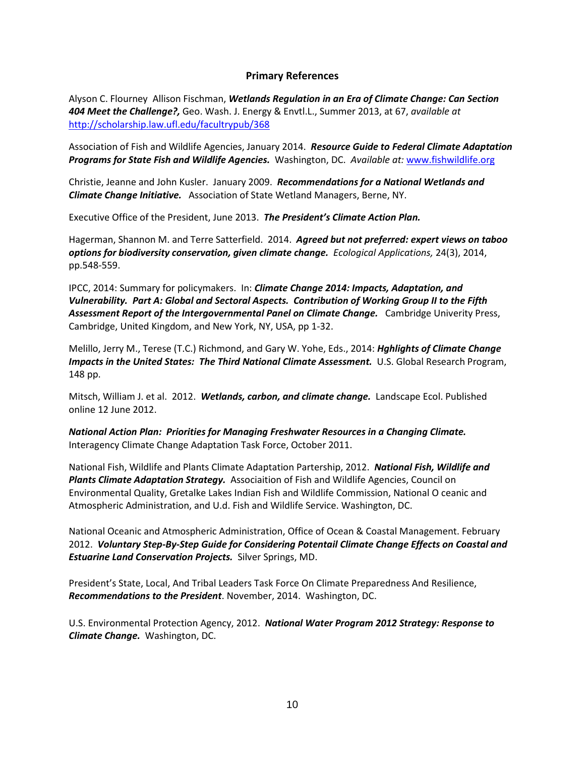#### **Primary References**

Alyson C. Flourney Allison Fischman, *Wetlands Regulation in an Era of Climate Change: Can Section 404 Meet the Challenge?,* Geo. Wash. J. Energy & Envtl.L., Summer 2013, at 67, *available at*  <http://scholarship.law.ufl.edu/facultrypub/368>

Association of Fish and Wildlife Agencies, January 2014. *Resource Guide to Federal Climate Adaptation Programs for State Fish and Wildlife Agencies.* Washington, DC. *Available at:* [www.fishwildlife.org](http://www.fishwildlife.org/)

Christie, Jeanne and John Kusler. January 2009. *Recommendations for a National Wetlands and Climate Change Initiative.* Association of State Wetland Managers, Berne, NY.

Executive Office of the President, June 2013. *The President's Climate Action Plan.*

Hagerman, Shannon M. and Terre Satterfield. 2014. *Agreed but not preferred: expert views on taboo options for biodiversity conservation, given climate change. Ecological Applications,* 24(3), 2014, pp.548-559.

IPCC, 2014: Summary for policymakers. In: *Climate Change 2014: Impacts, Adaptation, and Vulnerability. Part A: Global and Sectoral Aspects. Contribution of Working Group II to the Fifth Assessment Report of the Intergovernmental Panel on Climate Change.* Cambridge Univerity Press, Cambridge, United Kingdom, and New York, NY, USA, pp 1-32.

Melillo, Jerry M., Terese (T.C.) Richmond, and Gary W. Yohe, Eds., 2014: *Hghlights of Climate Change*  Impacts in the United States: The Third National Climate Assessment. U.S. Global Research Program, 148 pp.

Mitsch, William J. et al. 2012. *Wetlands, carbon, and climate change.* Landscape Ecol. Published online 12 June 2012.

*National Action Plan: Priorities for Managing Freshwater Resources in a Changing Climate.*  Interagency Climate Change Adaptation Task Force, October 2011.

National Fish, Wildlife and Plants Climate Adaptation Partership, 2012. *National Fish, Wildlife and Plants Climate Adaptation Strategy.* Associaition of Fish and Wildlife Agencies, Council on Environmental Quality, Gretalke Lakes Indian Fish and Wildlife Commission, National O ceanic and Atmospheric Administration, and U.d. Fish and Wildlife Service. Washington, DC.

National Oceanic and Atmospheric Administration, Office of Ocean & Coastal Management. February 2012. *Voluntary Step-By-Step Guide for Considering Potentail Climate Change Effects on Coastal and Estuarine Land Conservation Projects.* Silver Springs, MD.

President's State, Local, And Tribal Leaders Task Force On Climate Preparedness And Resilience, *Recommendations to the President*. November, 2014. Washington, DC.

U.S. Environmental Protection Agency, 2012. *National Water Program 2012 Strategy: Response to Climate Change.* Washington, DC.